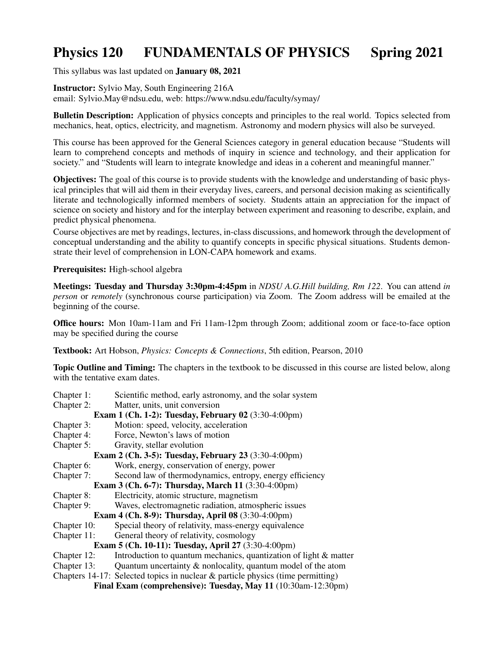## Physics 120 FUNDAMENTALS OF PHYSICS Spring 2021

This syllabus was last updated on January 08, 2021

Instructor: Sylvio May, South Engineering 216A email: Sylvio.May@ndsu.edu, web: https://www.ndsu.edu/faculty/symay/

**Bulletin Description:** Application of physics concepts and principles to the real world. Topics selected from mechanics, heat, optics, electricity, and magnetism. Astronomy and modern physics will also be surveyed.

This course has been approved for the General Sciences category in general education because "Students will learn to comprehend concepts and methods of inquiry in science and technology, and their application for society." and "Students will learn to integrate knowledge and ideas in a coherent and meaningful manner."

Objectives: The goal of this course is to provide students with the knowledge and understanding of basic physical principles that will aid them in their everyday lives, careers, and personal decision making as scientifically literate and technologically informed members of society. Students attain an appreciation for the impact of science on society and history and for the interplay between experiment and reasoning to describe, explain, and predict physical phenomena.

Course objectives are met by readings, lectures, in-class discussions, and homework through the development of conceptual understanding and the ability to quantify concepts in specific physical situations. Students demonstrate their level of comprehension in LON-CAPA homework and exams.

Prerequisites: High-school algebra

Meetings: Tuesday and Thursday 3:30pm-4:45pm in *NDSU A.G.Hill building, Rm 122*. You can attend *in person* or *remotely* (synchronous course participation) via Zoom. The Zoom address will be emailed at the beginning of the course.

Office hours: Mon 10am-11am and Fri 11am-12pm through Zoom; additional zoom or face-to-face option may be specified during the course

Textbook: Art Hobson, *Physics: Concepts & Connections*, 5th edition, Pearson, 2010

Topic Outline and Timing: The chapters in the textbook to be discussed in this course are listed below, along with the tentative exam dates.

Chapter 1: Scientific method, early astronomy, and the solar system Chapter 2: Matter, units, unit conversion Exam 1 (Ch. 1-2): Tuesday, February 02 (3:30-4:00pm) Chapter 3: Motion: speed, velocity, acceleration Chapter 4: Force, Newton's laws of motion Chapter 5: Gravity, stellar evolution Exam 2 (Ch. 3-5): Tuesday, February 23 (3:30-4:00pm) Chapter 6: Work, energy, conservation of energy, power Chapter 7: Second law of thermodynamics, entropy, energy efficiency Exam 3 (Ch. 6-7): Thursday, March 11 (3:30-4:00pm) Chapter 8: Electricity, atomic structure, magnetism Chapter 9: Waves, electromagnetic radiation, atmospheric issues Exam 4 (Ch. 8-9): Thursday, April 08 (3:30-4:00pm) Chapter 10: Special theory of relativity, mass-energy equivalence Chapter 11: General theory of relativity, cosmology Exam 5 (Ch. 10-11): Tuesday, April 27 (3:30-4:00pm) Chapter 12: Introduction to quantum mechanics, quantization of light  $&$  matter Chapter 13: Quantum uncertainty  $\&$  nonlocality, quantum model of the atom Chapters 14-17: Selected topics in nuclear  $\&$  particle physics (time permitting) Final Exam (comprehensive): Tuesday, May 11 (10:30am-12:30pm)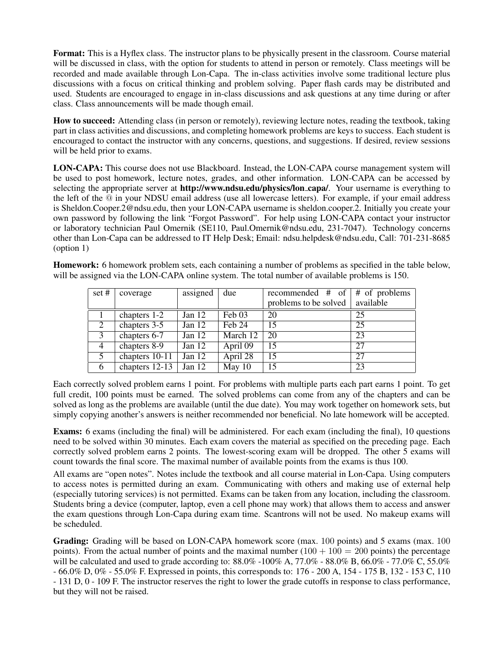Format: This is a Hyflex class. The instructor plans to be physically present in the classroom. Course material will be discussed in class, with the option for students to attend in person or remotely. Class meetings will be recorded and made available through Lon-Capa. The in-class activities involve some traditional lecture plus discussions with a focus on critical thinking and problem solving. Paper flash cards may be distributed and used. Students are encouraged to engage in in-class discussions and ask questions at any time during or after class. Class announcements will be made though email.

How to succeed: Attending class (in person or remotely), reviewing lecture notes, reading the textbook, taking part in class activities and discussions, and completing homework problems are keys to success. Each student is encouraged to contact the instructor with any concerns, questions, and suggestions. If desired, review sessions will be held prior to exams.

LON-CAPA: This course does not use Blackboard. Instead, the LON-CAPA course management system will be used to post homework, lecture notes, grades, and other information. LON-CAPA can be accessed by selecting the appropriate server at http://www.ndsu.edu/physics/lon\_capa/. Your username is everything to the left of the @ in your NDSU email address (use all lowercase letters). For example, if your email address is Sheldon.Cooper.2@ndsu.edu, then your LON-CAPA username is sheldon.cooper.2. Initially you create your own password by following the link "Forgot Password". For help using LON-CAPA contact your instructor or laboratory technician Paul Omernik (SE110, Paul.Omernik@ndsu.edu, 231-7047). Technology concerns other than Lon-Capa can be addressed to IT Help Desk; Email: ndsu.helpdesk@ndsu.edu, Call: 701-231-8685 (option 1)

Homework: 6 homework problem sets, each containing a number of problems as specified in the table below, will be assigned via the LON-CAPA online system. The total number of available problems is 150.

| set#           | coverage       | assigned | due      | recommended $#$ of $#$ of problems |           |
|----------------|----------------|----------|----------|------------------------------------|-----------|
|                |                |          |          | problems to be solved              | available |
|                | chapters 1-2   | Jan $12$ | Feb 03   | 20                                 | 25        |
| 2              | chapters 3-5   | Jan $12$ | Feb 24   | 15                                 | 25        |
| 3              | chapters 6-7   | Jan $12$ | March 12 | 20                                 | 23        |
| $\overline{4}$ | chapters 8-9   | Jan $12$ | April 09 | 15                                 | 27        |
| 5              | chapters 10-11 | Jan $12$ | April 28 | 15                                 | 27        |
| 6              | chapters 12-13 | Jan $12$ | May $10$ | 15                                 | 23        |

Each correctly solved problem earns 1 point. For problems with multiple parts each part earns 1 point. To get full credit, 100 points must be earned. The solved problems can come from any of the chapters and can be solved as long as the problems are available (until the due date). You may work together on homework sets, but simply copying another's answers is neither recommended nor beneficial. No late homework will be accepted.

Exams: 6 exams (including the final) will be administered. For each exam (including the final), 10 questions need to be solved within 30 minutes. Each exam covers the material as specified on the preceding page. Each correctly solved problem earns 2 points. The lowest-scoring exam will be dropped. The other 5 exams will count towards the final score. The maximal number of available points from the exams is thus 100.

All exams are "open notes". Notes include the textbook and all course material in Lon-Capa. Using computers to access notes is permitted during an exam. Communicating with others and making use of external help (especially tutoring services) is not permitted. Exams can be taken from any location, including the classroom. Students bring a device (computer, laptop, even a cell phone may work) that allows them to access and answer the exam questions through Lon-Capa during exam time. Scantrons will not be used. No makeup exams will be scheduled.

Grading: Grading will be based on LON-CAPA homework score (max. 100 points) and 5 exams (max. 100 points). From the actual number of points and the maximal number  $(100 + 100 = 200$  points) the percentage will be calculated and used to grade according to: 88.0% -100% A, 77.0% - 88.0% B, 66.0% - 77.0% C, 55.0% - 66.0% D, 0% - 55.0% F. Expressed in points, this corresponds to: 176 - 200 A, 154 - 175 B, 132 - 153 C, 110 - 131 D, 0 - 109 F. The instructor reserves the right to lower the grade cutoffs in response to class performance, but they will not be raised.